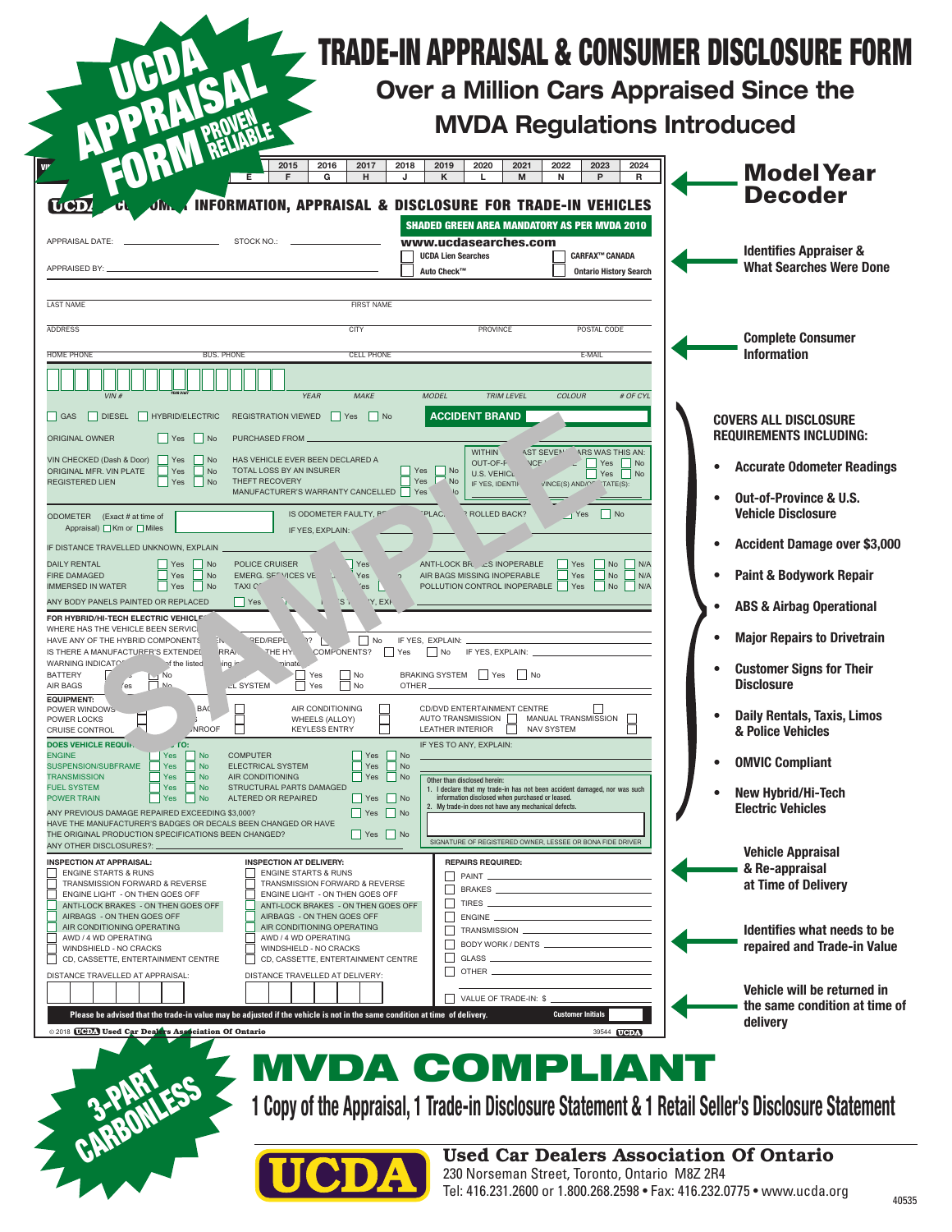|                                                                                                                                                  | 2015<br>2016<br>2017<br>G<br>F<br>н                                        | 2019<br>2021<br>2018<br>2020<br>κ<br>M<br>J<br>L.                                                                                                                  | 2022<br>2023<br>2024<br>P<br>R<br>N                                 |                                            | <b>Model Year</b>                                          |
|--------------------------------------------------------------------------------------------------------------------------------------------------|----------------------------------------------------------------------------|--------------------------------------------------------------------------------------------------------------------------------------------------------------------|---------------------------------------------------------------------|--------------------------------------------|------------------------------------------------------------|
| <b>UCD</b>                                                                                                                                       | <b>INFORMATION, APPRAISAL &amp; DISCLOSURE FOR TRADE-IN VEHICLES</b>       | <b>SHADED GREEN AREA MANDATORY AS PER MVDA 2010</b>                                                                                                                |                                                                     | <b>Decoder</b>                             |                                                            |
| APPRAISAL DATE:                                                                                                                                  | STOCK NO.:                                                                 | www.ucdasearches.com<br><b>UCDA Lien Searches</b>                                                                                                                  | CARFAX™ CANADA                                                      | <b>Identifies Appraiser &amp;</b>          |                                                            |
| APPRAISED BY:                                                                                                                                    |                                                                            | Auto Check™                                                                                                                                                        | <b>Ontario History Search</b>                                       |                                            | <b>What Searches Were Done</b>                             |
| <b>LAST NAME</b>                                                                                                                                 | <b>FIRST NAME</b>                                                          |                                                                                                                                                                    |                                                                     |                                            |                                                            |
| <b>ADDRESS</b>                                                                                                                                   | CITY                                                                       | PROVINCE                                                                                                                                                           | POSTAL CODE                                                         | <b>Complete Consumer</b>                   |                                                            |
| <b>HOME PHONE</b><br><b>BUS. PHONE</b>                                                                                                           | <b>CELL PHONE</b>                                                          |                                                                                                                                                                    | E-MAIL                                                              | <b>Information</b>                         |                                                            |
| VIN#                                                                                                                                             | <b>YEAR</b><br><b>MAKE</b>                                                 | <b>MODEL</b><br><b>TRIM LEVEL</b>                                                                                                                                  | <b>COLOUR</b><br># OF CYL                                           |                                            |                                                            |
| GAS<br><b>DIESEL</b><br>HYBRID/ELECTRIC                                                                                                          | REGISTRATION VIEWED<br>  Yes   No                                          | <b>ACCIDENT BRAND</b>                                                                                                                                              |                                                                     | <b>COVERS ALL DISCLOSURE</b>               |                                                            |
| ORIGINAL OWNER<br>$\Box$ Yes<br>$\vert$ No                                                                                                       | PURCHASED FROM                                                             |                                                                                                                                                                    |                                                                     | <b>REQUIREMENTS INCLUDING:</b>             |                                                            |
| VIN CHECKED (Dash & Door)<br>No<br>Yes<br>ORIGINAL MFR. VIN PLATE<br>Yes<br>No                                                                   | HAS VEHICLE EVER BEEN DECLARED A<br>TOTAL LOSS BY AN INSURER               | <b>WITHIN</b><br><b>AST SEVEN</b><br>OUT-OF-F<br><b>NCF</b><br>Yes<br>  No<br><b>U.S. VEHICL</b>                                                                   | ARS WAS THIS AN:<br>Yes<br>No<br>Yes<br>$\overline{\phantom{a}}$ No | <b>Accurate Odometer Readings</b>          |                                                            |
| <b>REGISTERED LIEN</b><br>Yes<br>No                                                                                                              | THEFT RECOVERY<br>MANUFACTURER'S WARRANTY CANCELLED                        | Yes<br>No<br>IF YES, IDENTIF<br>Yes                                                                                                                                | 'TATE(S):<br>VINCE(S) AND/C"                                        | <b>Out-of-Province &amp; U.S.</b>          |                                                            |
| ODOMETER (Exact # at time of<br>Appraisal) ■ Km or ■ Miles                                                                                       | IS ODOMETER FAULTY, PT<br>IF YES, EXPLAIN:                                 | PLAC.<br><b>ROLLED BACK?</b>                                                                                                                                       | $\vert$ No<br>$\sqrt{1}$ Yes                                        | <b>Vehicle Disclosure</b>                  |                                                            |
| IF DISTANCE TRAVELLED UNKNOWN, EXPLAIN                                                                                                           |                                                                            |                                                                                                                                                                    |                                                                     | <b>Accident Damage over \$3,000</b>        |                                                            |
| <b>DAILY RENTAL</b><br>Yes<br>No<br>Yes<br><b>FIRE DAMAGED</b><br>No<br>$\Box$ Yes<br><b>IMMERSED IN WATER</b><br>N <sub>o</sub><br><b>TAXIC</b> | POLICE CRUISER<br>Yes<br>EMERG. SFTVICES VE<br>Yes<br>'es                  | ANTI-LOCK BR. . LES INOPERABLE<br>AIR BAGS MISSING INOPERABLE<br>POLLUTION CONTROL INOPERABLE   Yes                                                                | Yes<br>No<br>N/A<br>Yes<br>N/A<br>No<br>No<br>N/A                   | <b>Paint &amp; Bodywork Repair</b>         |                                                            |
| ANY BODY PANELS PAINTED OR REPLACED                                                                                                              | $ $ Yes<br>S <sub>1</sub><br>'Y, EXF                                       |                                                                                                                                                                    |                                                                     | <b>ABS &amp; Airbag Operational</b>        |                                                            |
| FOR HYBRID/HI-TECH ELECTRIC VEHICLE<br>WHERE HAS THE VEHICLE BEEN SERVIC<br>HAVE ANY OF THE HYBRID COMPONENTS<br>EN.                             | $\Box$ No<br><b>RED/REPL</b>                                               | IF YES, EXPLAIN:                                                                                                                                                   |                                                                     | <b>Major Repairs to Drivetrain</b>         |                                                            |
| IS THERE A MANUFACTURER'S EXTENDED<br>RRAN.<br>WARNING INDICATO!<br>of the listed<br>ing in                                                      | COMPONENTS?<br>THE HY.<br>$ $ Yes<br>minate                                | $\Box$ No<br>IF YES, EXPLAIN:                                                                                                                                      |                                                                     | <b>Customer Signs for Their</b>            |                                                            |
| <b>BATTERY</b><br><b>No</b><br>N <sub>0</sub><br>AIR BAGS<br>/es                                                                                 | Yes<br>$\Box$ No<br><b>LL SYSTEM</b><br>No<br>Yes                          | <b>BRAKING SYSTEM</b><br>  Yes<br>  No<br><b>OTHER</b>                                                                                                             |                                                                     | <b>Disclosure</b>                          |                                                            |
| <b>EQUIPMENT:</b><br>POWER WINDOWS<br><b>BAC</b><br>POWER LOCKS                                                                                  | AIR CONDITIONING<br>WHEELS (ALLOY)                                         | CD/DVD ENTERTAINMENT CENTRE<br>AUTO TRANSMISSION                                                                                                                   | MANUAL TRANSMISSION                                                 | <b>Daily Rentals, Taxis, Limos</b>         |                                                            |
| CRUISE CONTROL<br><b>JNROOF</b><br><b>DOES VEHICLE REQUIP.</b><br>$J$ TO:                                                                        | <b>KEYLESS ENTRY</b>                                                       | LEATHER INTERIOR<br>NAV SYSTEM<br>IF YES TO ANY, EXPLAIN:                                                                                                          |                                                                     | & Police Vehicles                          |                                                            |
| <b>ENGINE</b><br>Yes<br>$\blacksquare$ No<br>SUSPENSION/SUBFRAME<br>No<br>Yes                                                                    | <b>COMPUTER</b><br>  Yes<br>$\vert$ No<br>ELECTRICAL SYSTEM<br>Yes         | No                                                                                                                                                                 |                                                                     | <b>OMVIC Compliant</b>                     |                                                            |
| No<br>TRANSMISSION<br><b>Yes</b><br>No<br><b>FUEL SYSTEM</b><br>Yes<br>No.<br>POWER TRAIN                                                        | AIR CONDITIONING<br>Yes<br>STRUCTURAL PARTS DAMAGED<br>ALTERED OR REPAIRED | No<br>Other than disclosed herein:<br>1. I declare that my trade-in has not been accident damaged, nor was such<br>information disclosed when purchased or leased. |                                                                     | <b>New Hybrid/Hi-Tech</b>                  |                                                            |
| Yes<br>ANY PREVIOUS DAMAGE REPAIRED EXCEEDING \$3,000?                                                                                           | Yes No<br>$\Box$ Yes<br>$\blacksquare$ No                                  | 2. My trade-in does not have any mechanical defects.                                                                                                               |                                                                     | <b>Electric Vehicles</b>                   |                                                            |
| HAVE THE MANUFACTURER'S BADGES OR DECALS BEEN CHANGED OR HAVE<br>THE ORIGINAL PRODUCTION SPECIFICATIONS BEEN CHANGED?<br>ANY OTHER DISCLOSURES?: | Yes   No                                                                   | SIGNATURE OF REGISTERED OWNER, LESSEE OR BONA FIDE DRIVER                                                                                                          |                                                                     |                                            |                                                            |
| <b>INSPECTION AT APPRAISAL:</b><br><b>ENGINE STARTS &amp; RUNS</b>                                                                               | <b>INSPECTION AT DELIVERY:</b><br><b>ENGINE STARTS &amp; RUNS</b>          | <b>REPAIRS REQUIRED:</b>                                                                                                                                           |                                                                     | <b>Vehicle Appraisal</b><br>& Re-appraisal |                                                            |
| TRANSMISSION FORWARD & REVERSE<br>ENGINE LIGHT - ON THEN GOES OFF                                                                                | TRANSMISSION FORWARD & REVERSE<br>ENGINE LIGHT - ON THEN GOES OFF          | PAINT_                                                                                                                                                             |                                                                     | at Time of Delivery                        |                                                            |
| ANTI-LOCK BRAKES - ON THEN GOES OFF<br>AIRBAGS - ON THEN GOES OFF                                                                                | ANTI-LOCK BRAKES - ON THEN GOES OFF<br>AIRBAGS - ON THEN GOES OFF          | $\Box$<br>П<br>ENGINE                                                                                                                                              |                                                                     |                                            |                                                            |
| AIR CONDITIONING OPERATING<br>AWD / 4 WD OPERATING                                                                                               | AIR CONDITIONING OPERATING<br>AWD / 4 WD OPERATING                         | TRANSMISSION<br>П<br>BODY WORK / DENTS _________________                                                                                                           |                                                                     |                                            | Identifies what needs to be<br>repaired and Trade-in Value |
| WINDSHIELD - NO CRACKS<br>CD, CASSETTE, ENTERTAINMENT CENTRE                                                                                     | WINDSHIELD - NO CRACKS<br>CD, CASSETTE, ENTERTAINMENT CENTRE               | П<br>GLASS _<br>OTHER                                                                                                                                              |                                                                     |                                            |                                                            |
| DISTANCE TRAVELLED AT APPRAISAL:                                                                                                                 | DISTANCE TRAVELLED AT DELIVERY:                                            |                                                                                                                                                                    |                                                                     |                                            | Vehicle will be returned in                                |
| Please be advised that the trade-in value may be adjusted if the vehicle is not in the same condition at time of delivery.                       |                                                                            | VALUE OF TRADE-IN: \$                                                                                                                                              | <b>Customer Initials</b>                                            |                                            | the same condition at time of                              |

 $\sim$ 

1 Copy of the Appraisal, 1 Trade-in Disclosure Statement & 1 Retail Seller's Disclosure Statement CARBONLESS



Used Car Dealers Association Of Ontario 230 Norseman Street, Toronto, Ontario M8Z 2R4 Tel: 416.231.2600 or 1.800.268.2598 • Fax: 416.232.0775 • www.ucda.org